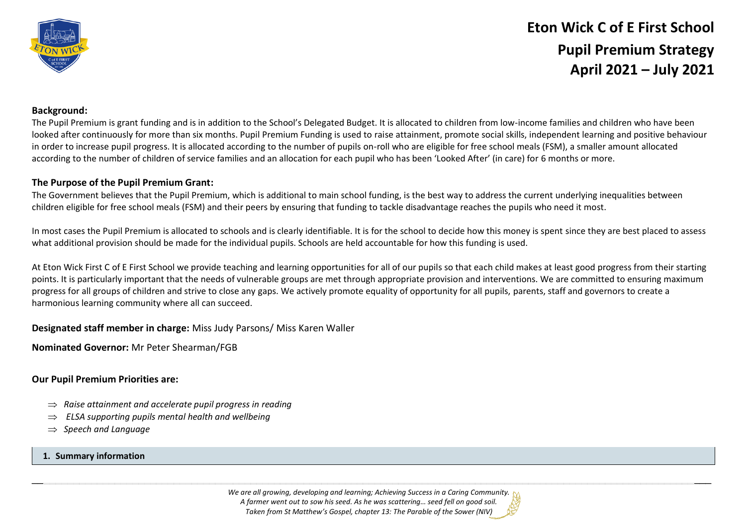

# **Eton Wick C of E First School Pupil Premium Strategy April 2021 – July 2021**

#### **Background:**

The Pupil Premium is grant funding and is in addition to the School's Delegated Budget. It is allocated to children from low-income families and children who have been looked after continuously for more than six months. Pupil Premium Funding is used to raise attainment, promote social skills, independent learning and positive behaviour in order to increase pupil progress. It is allocated according to the number of pupils on-roll who are eligible for free school meals (FSM), a smaller amount allocated according to the number of children of service families and an allocation for each pupil who has been 'Looked After' (in care) for 6 months or more.

### **The Purpose of the Pupil Premium Grant:**

The Government believes that the Pupil Premium, which is additional to main school funding, is the best way to address the current underlying inequalities between children eligible for free school meals (FSM) and their peers by ensuring that funding to tackle disadvantage reaches the pupils who need it most.

In most cases the Pupil Premium is allocated to schools and is clearly identifiable. It is for the school to decide how this money is spent since they are best placed to assess what additional provision should be made for the individual pupils. Schools are held accountable for how this funding is used.

At Eton Wick First C of E First School we provide teaching and learning opportunities for all of our pupils so that each child makes at least good progress from their starting points. It is particularly important that the needs of vulnerable groups are met through appropriate provision and interventions. We are committed to ensuring maximum progress for all groups of children and strive to close any gaps. We actively promote equality of opportunity for all pupils, parents, staff and governors to create a harmonious learning community where all can succeed.

#### **Designated staff member in charge:** Miss Judy Parsons/ Miss Karen Waller

**Nominated Governor:** Mr Peter Shearman/FGB

#### **Our Pupil Premium Priorities are:**

- $\Rightarrow$  Raise attainment and accelerate pupil progress in reading
- *ELSA supporting pupils mental health and wellbeing*
- *Speech and Language*

#### **1. Summary information**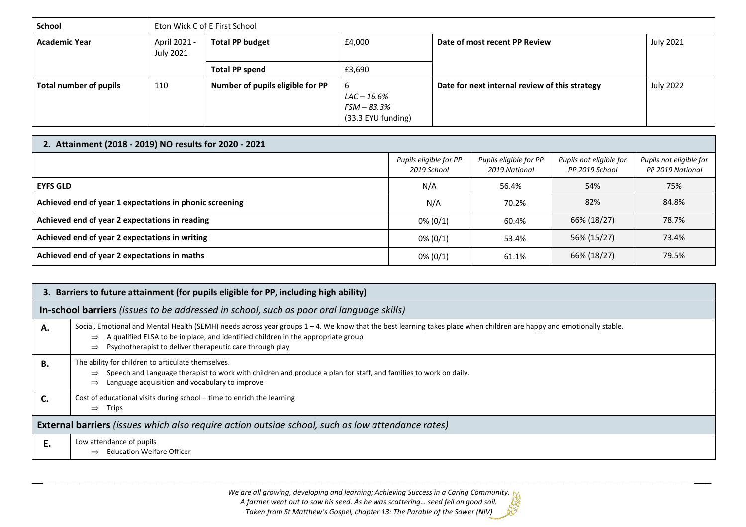| <b>School</b>          | Eton Wick C of E First School |                                  |                                                        |                                                |                  |
|------------------------|-------------------------------|----------------------------------|--------------------------------------------------------|------------------------------------------------|------------------|
| <b>Academic Year</b>   | April 2021 -<br>July 2021     | <b>Total PP budget</b>           | £4,000                                                 | Date of most recent PP Review                  | <b>July 2021</b> |
|                        |                               | <b>Total PP spend</b>            | £3,690                                                 |                                                |                  |
| Total number of pupils | 110                           | Number of pupils eligible for PP | -6<br>LAC – 16.6%<br>FSM – 83.3%<br>(33.3 EYU funding) | Date for next internal review of this strategy | <b>July 2022</b> |

| 2. Attainment (2018 - 2019) NO results for 2020 - 2021  |                                       |                                         |                                           |                                             |
|---------------------------------------------------------|---------------------------------------|-----------------------------------------|-------------------------------------------|---------------------------------------------|
|                                                         | Pupils eligible for PP<br>2019 School | Pupils eligible for PP<br>2019 National | Pupils not eligible for<br>PP 2019 School | Pupils not eligible for<br>PP 2019 National |
| <b>EYFS GLD</b>                                         | N/A                                   | 56.4%                                   | 54%                                       | 75%                                         |
| Achieved end of year 1 expectations in phonic screening | N/A                                   | 70.2%                                   | 82%                                       | 84.8%                                       |
| Achieved end of year 2 expectations in reading          | $0\% (0/1)$                           | 60.4%                                   | 66% (18/27)                               | 78.7%                                       |
| Achieved end of year 2 expectations in writing          | $0\% (0/1)$                           | 53.4%                                   | 56% (15/27)                               | 73.4%                                       |
| Achieved end of year 2 expectations in maths            | $0\% (0/1)$                           | 61.1%                                   | 66% (18/27)                               | 79.5%                                       |

| 3. Barriers to future attainment (for pupils eligible for PP, including high ability)             |                                                                                                                                                                                                                                                                                                                        |  |
|---------------------------------------------------------------------------------------------------|------------------------------------------------------------------------------------------------------------------------------------------------------------------------------------------------------------------------------------------------------------------------------------------------------------------------|--|
| In-school barriers (issues to be addressed in school, such as poor oral language skills)          |                                                                                                                                                                                                                                                                                                                        |  |
| А.                                                                                                | Social, Emotional and Mental Health (SEMH) needs across year groups 1 - 4. We know that the best learning takes place when children are happy and emotionally stable.<br>A qualified ELSA to be in place, and identified children in the appropriate group<br>Psychotherapist to deliver therapeutic care through play |  |
| В.                                                                                                | The ability for children to articulate themselves.<br>Speech and Language therapist to work with children and produce a plan for staff, and families to work on daily.<br>$\Rightarrow$<br>Language acquisition and vocabulary to improve                                                                              |  |
|                                                                                                   | Cost of educational visits during school - time to enrich the learning<br>Trips<br>$\Rightarrow$                                                                                                                                                                                                                       |  |
| External barriers (issues which also require action outside school, such as low attendance rates) |                                                                                                                                                                                                                                                                                                                        |  |
| Ε.                                                                                                | Low attendance of pupils<br><b>Education Welfare Officer</b>                                                                                                                                                                                                                                                           |  |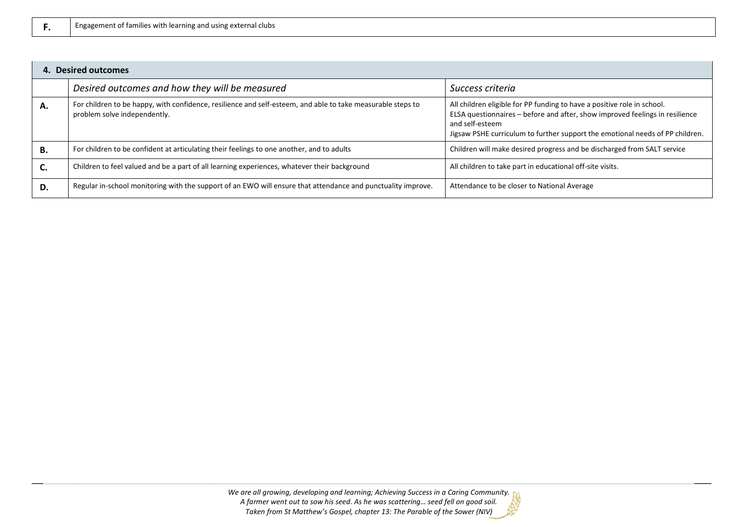| F. | Engagement of families with learning and using external clubs |
|----|---------------------------------------------------------------|
|----|---------------------------------------------------------------|

| 4. Desired outcomes |                                                                                                                                             |                                                                                                                                                                                                                                                             |  |
|---------------------|---------------------------------------------------------------------------------------------------------------------------------------------|-------------------------------------------------------------------------------------------------------------------------------------------------------------------------------------------------------------------------------------------------------------|--|
|                     | Desired outcomes and how they will be measured                                                                                              | Success criteria                                                                                                                                                                                                                                            |  |
| А.                  | For children to be happy, with confidence, resilience and self-esteem, and able to take measurable steps to<br>problem solve independently. | All children eligible for PP funding to have a positive role in school.<br>ELSA questionnaires - before and after, show improved feelings in resilience<br>and self-esteem<br>Jigsaw PSHE curriculum to further support the emotional needs of PP children. |  |
| В.                  | For children to be confident at articulating their feelings to one another, and to adults                                                   | Children will make desired progress and be discharged from SALT service                                                                                                                                                                                     |  |
| C.                  | Children to feel valued and be a part of all learning experiences, whatever their background                                                | All children to take part in educational off-site visits.                                                                                                                                                                                                   |  |
| D.                  | Regular in-school monitoring with the support of an EWO will ensure that attendance and punctuality improve.                                | Attendance to be closer to National Average                                                                                                                                                                                                                 |  |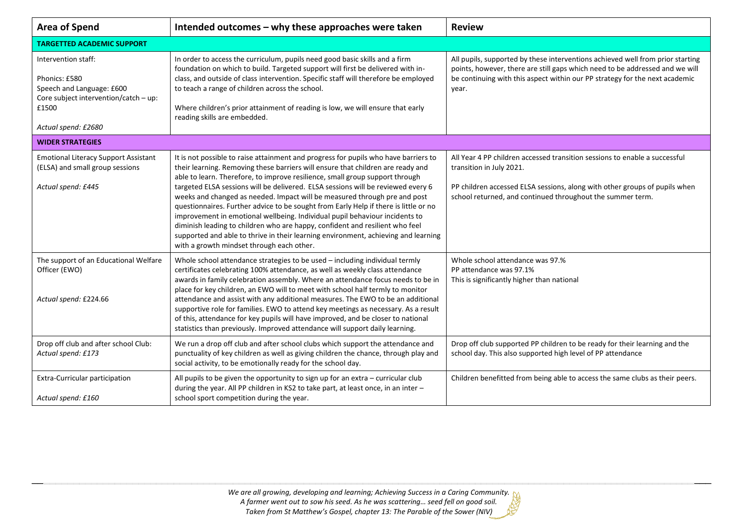| <b>Area of Spend</b>                                                                                                                       | Intended outcomes - why these approaches were taken                                                                                                                                                                                                                                                                                                                                                                                                                                                                                                                                                                                                                                                                                                                                                               | <b>Review</b>                                                                                                                                                                                                                                          |  |  |
|--------------------------------------------------------------------------------------------------------------------------------------------|-------------------------------------------------------------------------------------------------------------------------------------------------------------------------------------------------------------------------------------------------------------------------------------------------------------------------------------------------------------------------------------------------------------------------------------------------------------------------------------------------------------------------------------------------------------------------------------------------------------------------------------------------------------------------------------------------------------------------------------------------------------------------------------------------------------------|--------------------------------------------------------------------------------------------------------------------------------------------------------------------------------------------------------------------------------------------------------|--|--|
| <b>TARGETTED ACADEMIC SUPPORT</b>                                                                                                          |                                                                                                                                                                                                                                                                                                                                                                                                                                                                                                                                                                                                                                                                                                                                                                                                                   |                                                                                                                                                                                                                                                        |  |  |
| Intervention staff:<br>Phonics: £580<br>Speech and Language: £600<br>Core subject intervention/catch - up:<br>£1500<br>Actual spend: £2680 | In order to access the curriculum, pupils need good basic skills and a firm<br>foundation on which to build. Targeted support will first be delivered with in-<br>class, and outside of class intervention. Specific staff will therefore be employed<br>to teach a range of children across the school.<br>Where children's prior attainment of reading is low, we will ensure that early<br>reading skills are embedded.                                                                                                                                                                                                                                                                                                                                                                                        | All pupils, supported by these interventions achieved well from prior starting<br>points, however, there are still gaps which need to be addressed and we will<br>be continuing with this aspect within our PP strategy for the next academic<br>year. |  |  |
| <b>WIDER STRATEGIES</b>                                                                                                                    |                                                                                                                                                                                                                                                                                                                                                                                                                                                                                                                                                                                                                                                                                                                                                                                                                   |                                                                                                                                                                                                                                                        |  |  |
| <b>Emotional Literacy Support Assistant</b><br>(ELSA) and small group sessions<br>Actual spend: £445                                       | It is not possible to raise attainment and progress for pupils who have barriers to<br>their learning. Removing these barriers will ensure that children are ready and<br>able to learn. Therefore, to improve resilience, small group support through<br>targeted ELSA sessions will be delivered. ELSA sessions will be reviewed every 6<br>weeks and changed as needed. Impact will be measured through pre and post<br>questionnaires. Further advice to be sought from Early Help if there is little or no<br>improvement in emotional wellbeing. Individual pupil behaviour incidents to<br>diminish leading to children who are happy, confident and resilient who feel<br>supported and able to thrive in their learning environment, achieving and learning<br>with a growth mindset through each other. | All Year 4 PP children accessed transition sessions to enable a successful<br>transition in July 2021.<br>PP children accessed ELSA sessions, along with other groups of pupils when<br>school returned, and continued throughout the summer term.     |  |  |
| The support of an Educational Welfare<br>Officer (EWO)<br>Actual spend: £224.66                                                            | Whole school attendance strategies to be used - including individual termly<br>certificates celebrating 100% attendance, as well as weekly class attendance<br>awards in family celebration assembly. Where an attendance focus needs to be in<br>place for key children, an EWO will to meet with school half termly to monitor<br>attendance and assist with any additional measures. The EWO to be an additional<br>supportive role for families. EWO to attend key meetings as necessary. As a result<br>of this, attendance for key pupils will have improved, and be closer to national<br>statistics than previously. Improved attendance will support daily learning.                                                                                                                                     | Whole school attendance was 97.%<br>PP attendance was 97.1%<br>This is significantly higher than national                                                                                                                                              |  |  |
| Drop off club and after school Club:<br>Actual spend: £173                                                                                 | We run a drop off club and after school clubs which support the attendance and<br>punctuality of key children as well as giving children the chance, through play and<br>social activity, to be emotionally ready for the school day.                                                                                                                                                                                                                                                                                                                                                                                                                                                                                                                                                                             | Drop off club supported PP children to be ready for their learning and the<br>school day. This also supported high level of PP attendance                                                                                                              |  |  |
| Extra-Curricular participation<br>Actual spend: £160                                                                                       | All pupils to be given the opportunity to sign up for an extra - curricular club<br>during the year. All PP children in KS2 to take part, at least once, in an inter -<br>school sport competition during the year.                                                                                                                                                                                                                                                                                                                                                                                                                                                                                                                                                                                               | Children benefitted from being able to access the same clubs as their peers.                                                                                                                                                                           |  |  |